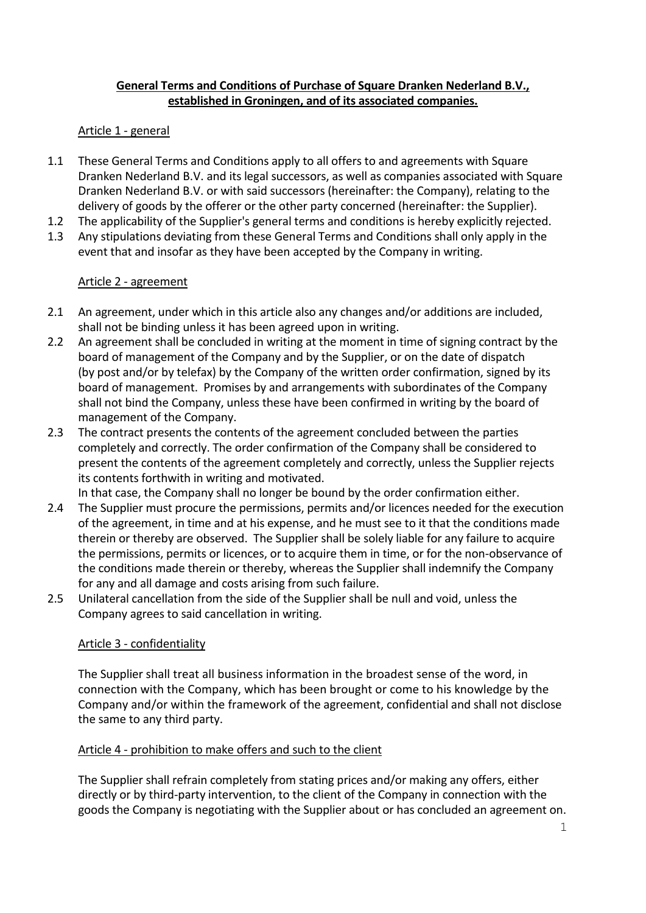### General Terms and Conditions of Purchase of Square Dranken Nederland B.V., established in Groningen, and of its associated companies.

### Article 1 - general

- 1.1 These General Terms and Conditions apply to all offers to and agreements with Square Dranken Nederland B.V. and its legal successors, as well as companies associated with Square Dranken Nederland B.V. or with said successors (hereinafter: the Company), relating to the delivery of goods by the offerer or the other party concerned (hereinafter: the Supplier).
- 1.2 The applicability of the Supplier's general terms and conditions is hereby explicitly rejected.
- 1.3 Any stipulations deviating from these General Terms and Conditions shall only apply in the event that and insofar as they have been accepted by the Company in writing.

### Article 2 - agreement

- 2.1 An agreement, under which in this article also any changes and/or additions are included, shall not be binding unless it has been agreed upon in writing.
- 2.2 An agreement shall be concluded in writing at the moment in time of signing contract by the board of management of the Company and by the Supplier, or on the date of dispatch (by post and/or by telefax) by the Company of the written order confirmation, signed by its board of management. Promises by and arrangements with subordinates of the Company shall not bind the Company, unless these have been confirmed in writing by the board of management of the Company.
- 2.3 The contract presents the contents of the agreement concluded between the parties completely and correctly. The order confirmation of the Company shall be considered to present the contents of the agreement completely and correctly, unless the Supplier rejects its contents forthwith in writing and motivated.

In that case, the Company shall no longer be bound by the order confirmation either.

- 2.4 The Supplier must procure the permissions, permits and/or licences needed for the execution of the agreement, in time and at his expense, and he must see to it that the conditions made therein or thereby are observed. The Supplier shall be solely liable for any failure to acquire the permissions, permits or licences, or to acquire them in time, or for the non-observance of the conditions made therein or thereby, whereas the Supplier shall indemnify the Company for any and all damage and costs arising from such failure.
- 2.5 Unilateral cancellation from the side of the Supplier shall be null and void, unless the Company agrees to said cancellation in writing.

## Article 3 - confidentiality

The Supplier shall treat all business information in the broadest sense of the word, in connection with the Company, which has been brought or come to his knowledge by the Company and/or within the framework of the agreement, confidential and shall not disclose the same to any third party.

### Article 4 - prohibition to make offers and such to the client

The Supplier shall refrain completely from stating prices and/or making any offers, either directly or by third-party intervention, to the client of the Company in connection with the goods the Company is negotiating with the Supplier about or has concluded an agreement on.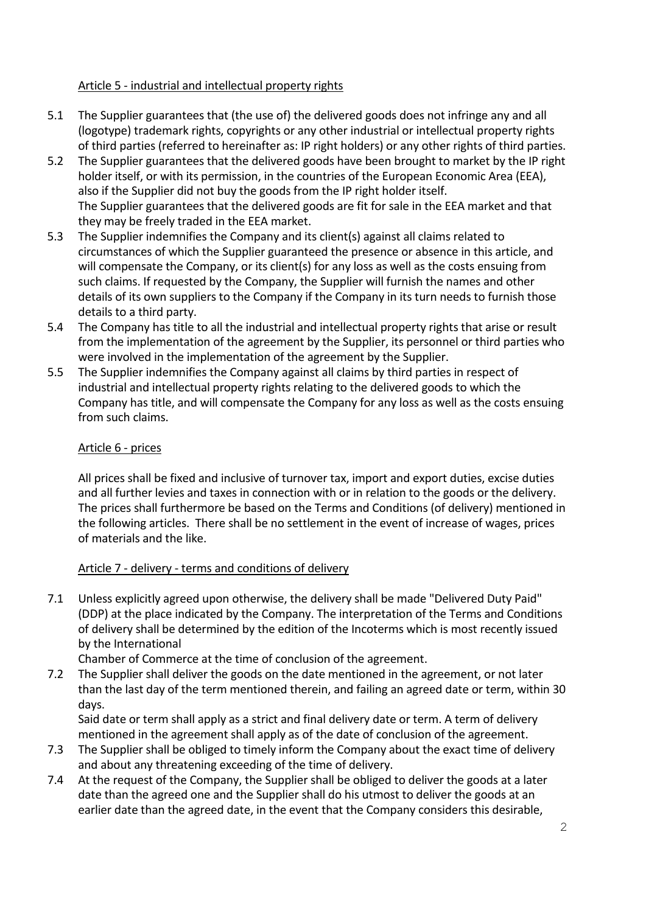# Article 5 - industrial and intellectual property rights

- 5.1 The Supplier guarantees that (the use of) the delivered goods does not infringe any and all (logotype) trademark rights, copyrights or any other industrial or intellectual property rights of third parties (referred to hereinafter as: IP right holders) or any other rights of third parties.
- 5.2 The Supplier guarantees that the delivered goods have been brought to market by the IP right holder itself, or with its permission, in the countries of the European Economic Area (EEA), also if the Supplier did not buy the goods from the IP right holder itself. The Supplier guarantees that the delivered goods are fit for sale in the EEA market and that they may be freely traded in the EEA market.
- 5.3 The Supplier indemnifies the Company and its client(s) against all claims related to circumstances of which the Supplier guaranteed the presence or absence in this article, and will compensate the Company, or its client(s) for any loss as well as the costs ensuing from such claims. If requested by the Company, the Supplier will furnish the names and other details of its own suppliers to the Company if the Company in its turn needs to furnish those details to a third party.
- 5.4 The Company has title to all the industrial and intellectual property rights that arise or result from the implementation of the agreement by the Supplier, its personnel or third parties who were involved in the implementation of the agreement by the Supplier.
- 5.5 The Supplier indemnifies the Company against all claims by third parties in respect of industrial and intellectual property rights relating to the delivered goods to which the Company has title, and will compensate the Company for any loss as well as the costs ensuing from such claims.

## Article 6 - prices

All prices shall be fixed and inclusive of turnover tax, import and export duties, excise duties and all further levies and taxes in connection with or in relation to the goods or the delivery. The prices shall furthermore be based on the Terms and Conditions (of delivery) mentioned in the following articles. There shall be no settlement in the event of increase of wages, prices of materials and the like.

## Article 7 - delivery - terms and conditions of delivery

7.1 Unless explicitly agreed upon otherwise, the delivery shall be made "Delivered Duty Paid" (DDP) at the place indicated by the Company. The interpretation of the Terms and Conditions of delivery shall be determined by the edition of the Incoterms which is most recently issued by the International

Chamber of Commerce at the time of conclusion of the agreement.

7.2 The Supplier shall deliver the goods on the date mentioned in the agreement, or not later than the last day of the term mentioned therein, and failing an agreed date or term, within 30 days.

Said date or term shall apply as a strict and final delivery date or term. A term of delivery mentioned in the agreement shall apply as of the date of conclusion of the agreement.

- 7.3 The Supplier shall be obliged to timely inform the Company about the exact time of delivery and about any threatening exceeding of the time of delivery.
- 7.4 At the request of the Company, the Supplier shall be obliged to deliver the goods at a later date than the agreed one and the Supplier shall do his utmost to deliver the goods at an earlier date than the agreed date, in the event that the Company considers this desirable,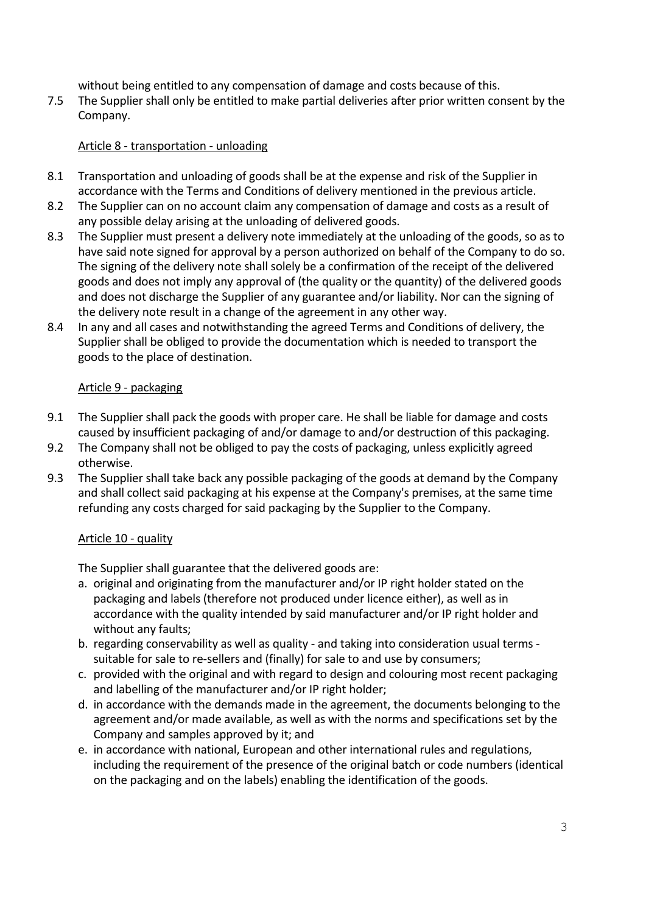without being entitled to any compensation of damage and costs because of this.

7.5 The Supplier shall only be entitled to make partial deliveries after prior written consent by the Company.

### Article 8 - transportation - unloading

- 8.1 Transportation and unloading of goods shall be at the expense and risk of the Supplier in accordance with the Terms and Conditions of delivery mentioned in the previous article.
- 8.2 The Supplier can on no account claim any compensation of damage and costs as a result of any possible delay arising at the unloading of delivered goods.
- 8.3 The Supplier must present a delivery note immediately at the unloading of the goods, so as to have said note signed for approval by a person authorized on behalf of the Company to do so. The signing of the delivery note shall solely be a confirmation of the receipt of the delivered goods and does not imply any approval of (the quality or the quantity) of the delivered goods and does not discharge the Supplier of any guarantee and/or liability. Nor can the signing of the delivery note result in a change of the agreement in any other way.
- 8.4 In any and all cases and notwithstanding the agreed Terms and Conditions of delivery, the Supplier shall be obliged to provide the documentation which is needed to transport the goods to the place of destination.

### Article 9 - packaging

- 9.1 The Supplier shall pack the goods with proper care. He shall be liable for damage and costs caused by insufficient packaging of and/or damage to and/or destruction of this packaging.
- 9.2 The Company shall not be obliged to pay the costs of packaging, unless explicitly agreed otherwise.
- 9.3 The Supplier shall take back any possible packaging of the goods at demand by the Company and shall collect said packaging at his expense at the Company's premises, at the same time refunding any costs charged for said packaging by the Supplier to the Company.

## Article 10 - quality

The Supplier shall guarantee that the delivered goods are:

- a. original and originating from the manufacturer and/or IP right holder stated on the packaging and labels (therefore not produced under licence either), as well as in accordance with the quality intended by said manufacturer and/or IP right holder and without any faults;
- b. regarding conservability as well as quality and taking into consideration usual terms suitable for sale to re-sellers and (finally) for sale to and use by consumers;
- c. provided with the original and with regard to design and colouring most recent packaging and labelling of the manufacturer and/or IP right holder;
- d. in accordance with the demands made in the agreement, the documents belonging to the agreement and/or made available, as well as with the norms and specifications set by the Company and samples approved by it; and
- e. in accordance with national, European and other international rules and regulations, including the requirement of the presence of the original batch or code numbers (identical on the packaging and on the labels) enabling the identification of the goods.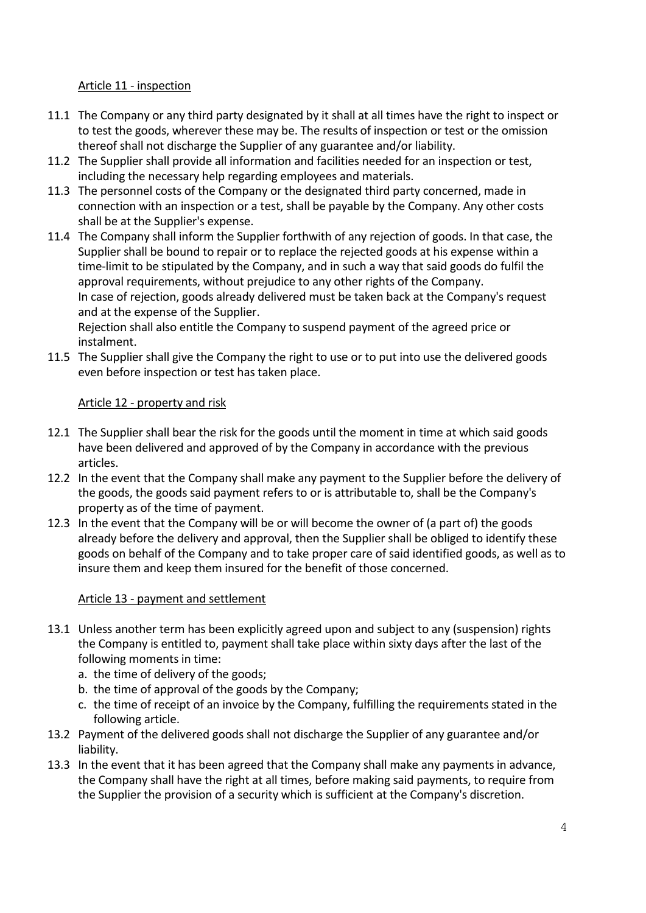# Article 11 - inspection

- 11.1 The Company or any third party designated by it shall at all times have the right to inspect or to test the goods, wherever these may be. The results of inspection or test or the omission thereof shall not discharge the Supplier of any guarantee and/or liability.
- 11.2 The Supplier shall provide all information and facilities needed for an inspection or test, including the necessary help regarding employees and materials.
- 11.3 The personnel costs of the Company or the designated third party concerned, made in connection with an inspection or a test, shall be payable by the Company. Any other costs shall be at the Supplier's expense.
- 11.4 The Company shall inform the Supplier forthwith of any rejection of goods. In that case, the Supplier shall be bound to repair or to replace the rejected goods at his expense within a time-limit to be stipulated by the Company, and in such a way that said goods do fulfil the approval requirements, without prejudice to any other rights of the Company. In case of rejection, goods already delivered must be taken back at the Company's request and at the expense of the Supplier.

Rejection shall also entitle the Company to suspend payment of the agreed price or instalment.

11.5 The Supplier shall give the Company the right to use or to put into use the delivered goods even before inspection or test has taken place.

# Article 12 - property and risk

- 12.1 The Supplier shall bear the risk for the goods until the moment in time at which said goods have been delivered and approved of by the Company in accordance with the previous articles.
- 12.2 In the event that the Company shall make any payment to the Supplier before the delivery of the goods, the goods said payment refers to or is attributable to, shall be the Company's property as of the time of payment.
- 12.3 In the event that the Company will be or will become the owner of (a part of) the goods already before the delivery and approval, then the Supplier shall be obliged to identify these goods on behalf of the Company and to take proper care of said identified goods, as well as to insure them and keep them insured for the benefit of those concerned.

## Article 13 - payment and settlement

- 13.1 Unless another term has been explicitly agreed upon and subject to any (suspension) rights the Company is entitled to, payment shall take place within sixty days after the last of the following moments in time:
	- a. the time of delivery of the goods;
	- b. the time of approval of the goods by the Company;
	- c. the time of receipt of an invoice by the Company, fulfilling the requirements stated in the following article.
- 13.2 Payment of the delivered goods shall not discharge the Supplier of any guarantee and/or liability.
- 13.3 In the event that it has been agreed that the Company shall make any payments in advance, the Company shall have the right at all times, before making said payments, to require from the Supplier the provision of a security which is sufficient at the Company's discretion.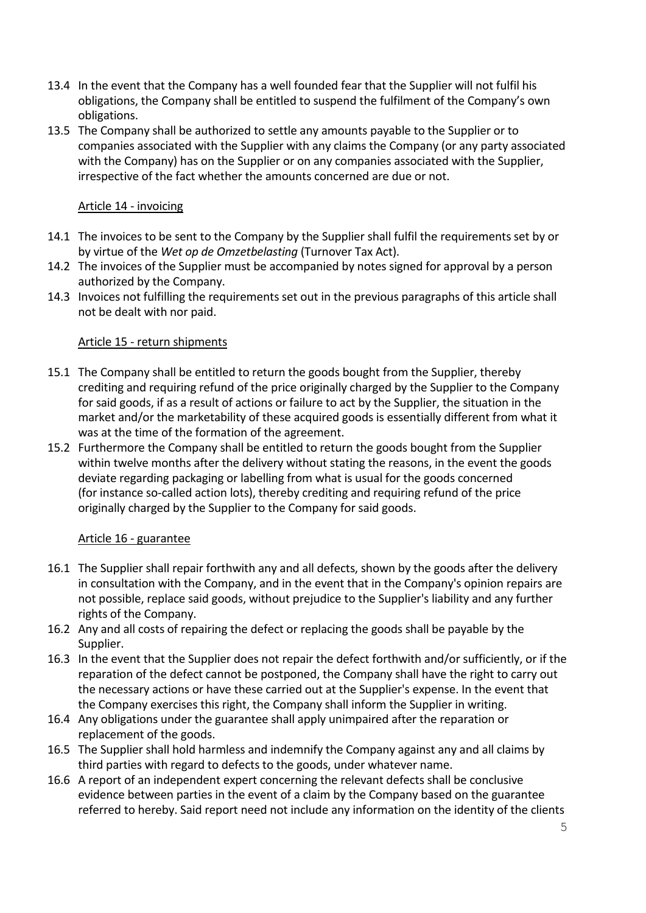- 13.4 In the event that the Company has a well founded fear that the Supplier will not fulfil his obligations, the Company shall be entitled to suspend the fulfilment of the Company's own obligations.
- 13.5 The Company shall be authorized to settle any amounts payable to the Supplier or to companies associated with the Supplier with any claims the Company (or any party associated with the Company) has on the Supplier or on any companies associated with the Supplier, irrespective of the fact whether the amounts concerned are due or not.

## Article 14 - invoicing

- 14.1 The invoices to be sent to the Company by the Supplier shall fulfil the requirements set by or by virtue of the Wet op de Omzetbelasting (Turnover Tax Act).
- 14.2 The invoices of the Supplier must be accompanied by notes signed for approval by a person authorized by the Company.
- 14.3 Invoices not fulfilling the requirements set out in the previous paragraphs of this article shall not be dealt with nor paid.

## Article 15 - return shipments

- 15.1 The Company shall be entitled to return the goods bought from the Supplier, thereby crediting and requiring refund of the price originally charged by the Supplier to the Company for said goods, if as a result of actions or failure to act by the Supplier, the situation in the market and/or the marketability of these acquired goods is essentially different from what it was at the time of the formation of the agreement.
- 15.2 Furthermore the Company shall be entitled to return the goods bought from the Supplier within twelve months after the delivery without stating the reasons, in the event the goods deviate regarding packaging or labelling from what is usual for the goods concerned (for instance so-called action lots), thereby crediting and requiring refund of the price originally charged by the Supplier to the Company for said goods.

## Article 16 - guarantee

- 16.1 The Supplier shall repair forthwith any and all defects, shown by the goods after the delivery in consultation with the Company, and in the event that in the Company's opinion repairs are not possible, replace said goods, without prejudice to the Supplier's liability and any further rights of the Company.
- 16.2 Any and all costs of repairing the defect or replacing the goods shall be payable by the Supplier.
- 16.3 In the event that the Supplier does not repair the defect forthwith and/or sufficiently, or if the reparation of the defect cannot be postponed, the Company shall have the right to carry out the necessary actions or have these carried out at the Supplier's expense. In the event that the Company exercises this right, the Company shall inform the Supplier in writing.
- 16.4 Any obligations under the guarantee shall apply unimpaired after the reparation or replacement of the goods.
- 16.5 The Supplier shall hold harmless and indemnify the Company against any and all claims by third parties with regard to defects to the goods, under whatever name.
- 16.6 A report of an independent expert concerning the relevant defects shall be conclusive evidence between parties in the event of a claim by the Company based on the guarantee referred to hereby. Said report need not include any information on the identity of the clients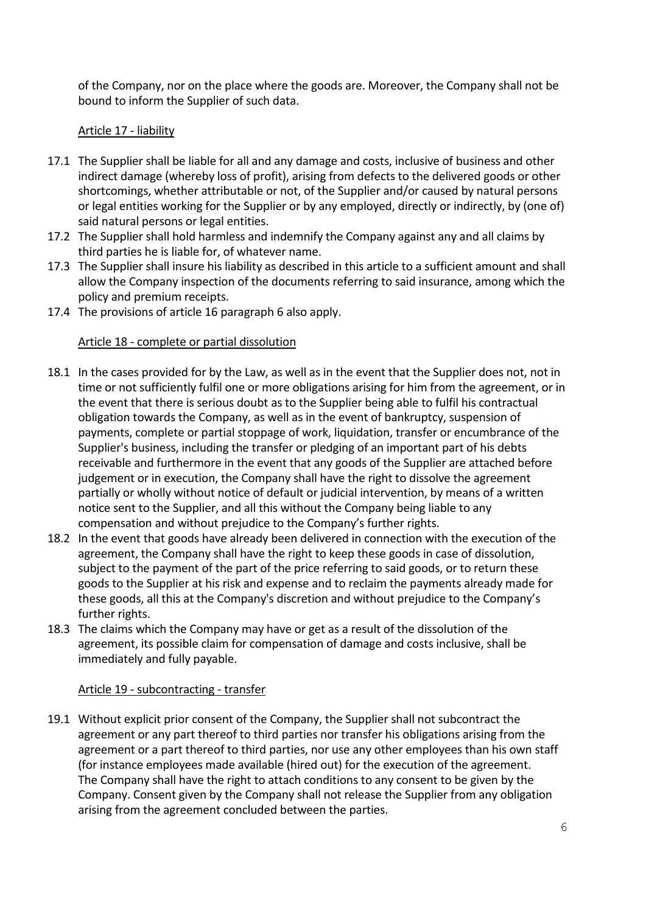of the Company, nor on the place where the goods are. Moreover, the Company shall not be bound to inform the Supplier of such data.

# Article 17 - liability

- 17.1 The Supplier shall be liable for all and any damage and costs, inclusive of business and other indirect damage (whereby loss of profit), arising from defects to the delivered goods or other shortcomings, whether attributable or not, of the Supplier and/or caused by natural persons or legal entities working for the Supplier or by any employed, directly or indirectly, by (one of) said natural persons or legal entities.
- 17.2 The Supplier shall hold harmless and indemnify the Company against any and all claims by third parties he is liable for, of whatever name.
- 17.3 The Supplier shall insure his liability as described in this article to a sufficient amount and shall allow the Company inspection of the documents referring to said insurance, among which the policy and premium receipts.
- 17.4 The provisions of article 16 paragraph 6 also apply.

# Article 18 - complete or partial dissolution

- 18.1 In the cases provided for by the Law, as well as in the event that the Supplier does not, not in time or not sufficiently fulfil one or more obligations arising for him from the agreement, or in the event that there is serious doubt as to the Supplier being able to fulfil his contractual obligation towards the Company, as well as in the event of bankruptcy, suspension of payments, complete or partial stoppage of work, liquidation, transfer or encumbrance of the Supplier's business, including the transfer or pledging of an important part of his debts receivable and furthermore in the event that any goods of the Supplier are attached before judgement or in execution, the Company shall have the right to dissolve the agreement partially or wholly without notice of default or judicial intervention, by means of a written notice sent to the Supplier, and all this without the Company being liable to any compensation and without prejudice to the Company's further rights.
- 18.2 In the event that goods have already been delivered in connection with the execution of the agreement, the Company shall have the right to keep these goods in case of dissolution, subject to the payment of the part of the price referring to said goods, or to return these goods to the Supplier at his risk and expense and to reclaim the payments already made for these goods, all this at the Company's discretion and without prejudice to the Company's further rights.
- 18.3 The claims which the Company may have or get as a result of the dissolution of the agreement, its possible claim for compensation of damage and costs inclusive, shall be immediately and fully payable.

## Article 19 - subcontracting - transfer

19.1 Without explicit prior consent of the Company, the Supplier shall not subcontract the agreement or any part thereof to third parties nor transfer his obligations arising from the agreement or a part thereof to third parties, nor use any other employees than his own staff (for instance employees made available (hired out) for the execution of the agreement. The Company shall have the right to attach conditions to any consent to be given by the Company. Consent given by the Company shall not release the Supplier from any obligation arising from the agreement concluded between the parties.